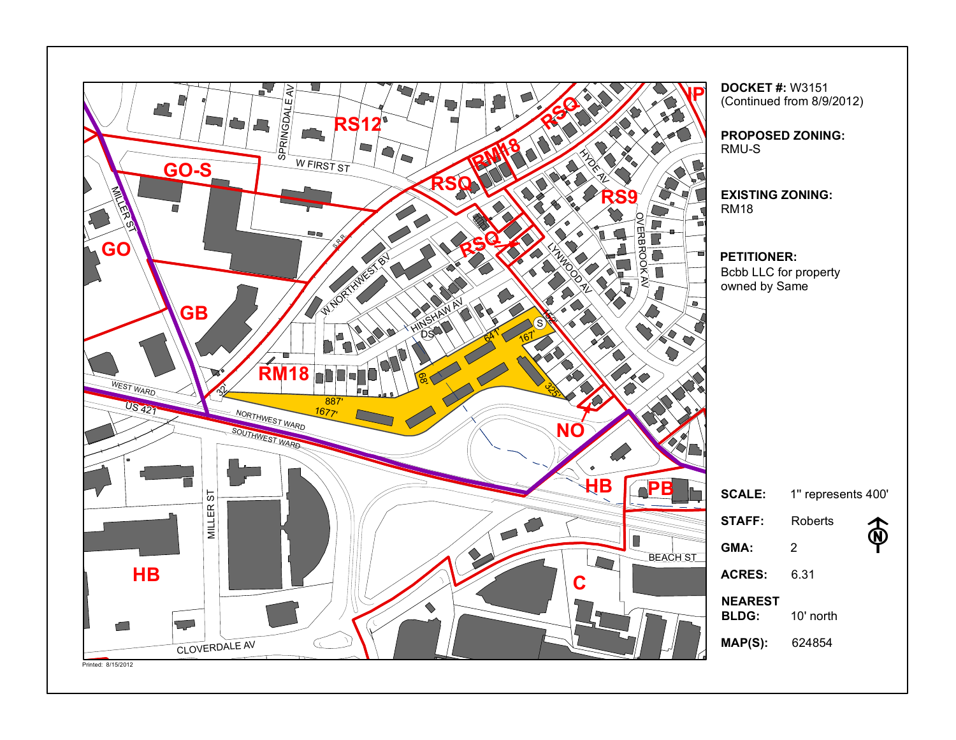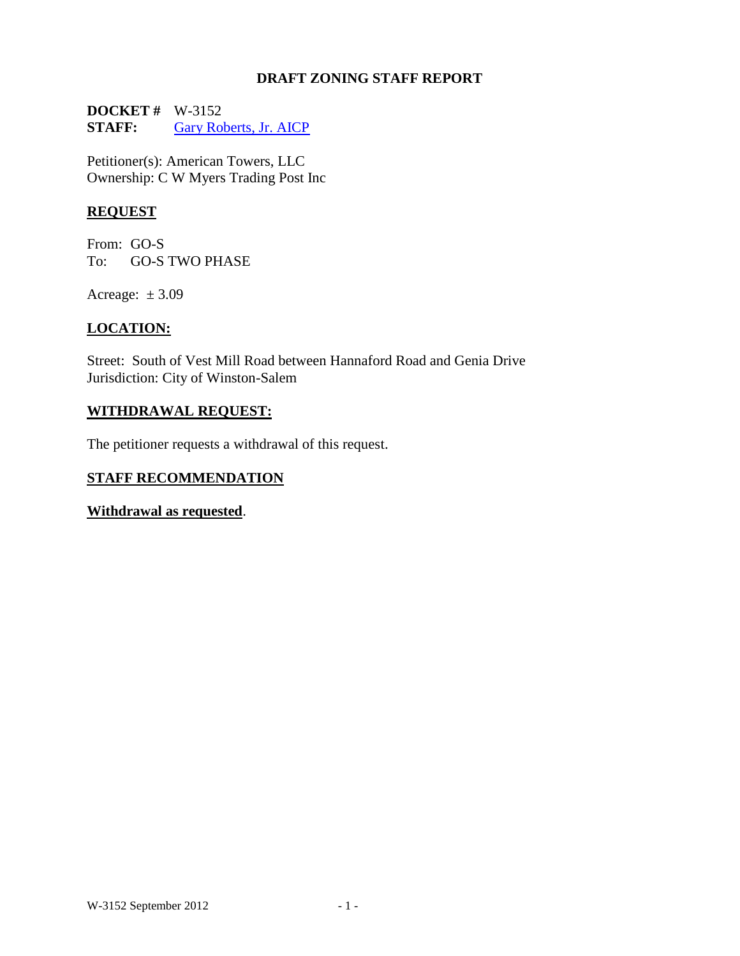### **DRAFT ZONING STAFF REPORT**

**DOCKET #** W-3152<br>**STAFF:** Gary Rol [Gary Roberts, Jr. AICP](mailto:garyr@cityofws.org)

Petitioner(s): American Towers, LLC Ownership: C W Myers Trading Post Inc

# **REQUEST**

From: GO-S To: GO-S TWO PHASE

Acreage:  $\pm 3.09$ 

# **LOCATION:**

Street: South of Vest Mill Road between Hannaford Road and Genia Drive Jurisdiction: City of Winston-Salem

### **WITHDRAWAL REQUEST:**

The petitioner requests a withdrawal of this request.

# **STAFF RECOMMENDATION**

**Withdrawal as requested**.